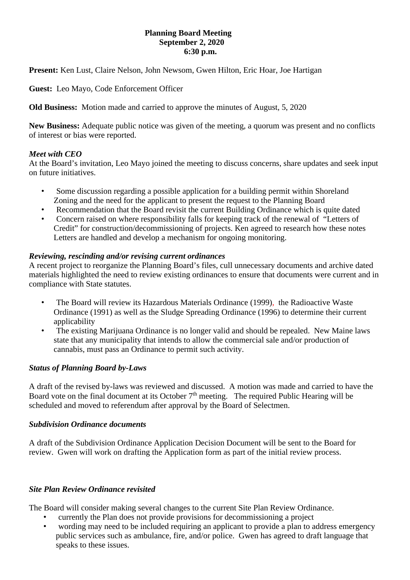# **Planning Board Meeting September 2, 2020 6:30 p.m.**

**Present:** Ken Lust, Claire Nelson, John Newsom, Gwen Hilton, Eric Hoar, Joe Hartigan

**Guest:** Leo Mayo, Code Enforcement Officer

**Old Business:** Motion made and carried to approve the minutes of August, 5, 2020

**New Business:** Adequate public notice was given of the meeting, a quorum was present and no conflicts of interest or bias were reported.

# *Meet with CEO*

At the Board's invitation, Leo Mayo joined the meeting to discuss concerns, share updates and seek input on future initiatives.

- Some discussion regarding a possible application for a building permit within Shoreland Zoning and the need for the applicant to present the request to the Planning Board
- Recommendation that the Board revisit the current Building Ordinance which is quite dated
- Concern raised on where responsibility falls for keeping track of the renewal of "Letters of Credit" for construction/decommissioning of projects. Ken agreed to research how these notes Letters are handled and develop a mechanism for ongoing monitoring.

# *Reviewing, rescinding and/or revising current ordinances*

A recent project to reorganize the Planning Board's files, cull unnecessary documents and archive dated materials highlighted the need to review existing ordinances to ensure that documents were current and in compliance with State statutes.

- The Board will review its Hazardous Materials Ordinance (1999), the Radioactive Waste Ordinance (1991) as well as the Sludge Spreading Ordinance (1996) to determine their current applicability
- The existing Marijuana Ordinance is no longer valid and should be repealed. New Maine laws state that any municipality that intends to allow the commercial sale and/or production of cannabis, must pass an Ordinance to permit such activity.

### *Status of Planning Board by-Laws*

A draft of the revised by-laws was reviewed and discussed. A motion was made and carried to have the Board vote on the final document at its October  $7<sup>th</sup>$  meeting. The required Public Hearing will be scheduled and moved to referendum after approval by the Board of Selectmen.

### *Subdivision Ordinance documents*

A draft of the Subdivision Ordinance Application Decision Document will be sent to the Board for review. Gwen will work on drafting the Application form as part of the initial review process.

### *Site Plan Review Ordinance revisited*

The Board will consider making several changes to the current Site Plan Review Ordinance.

- currently the Plan does not provide provisions for decommissioning a project
- wording may need to be included requiring an applicant to provide a plan to address emergency public services such as ambulance, fire, and/or police. Gwen has agreed to draft language that speaks to these issues.